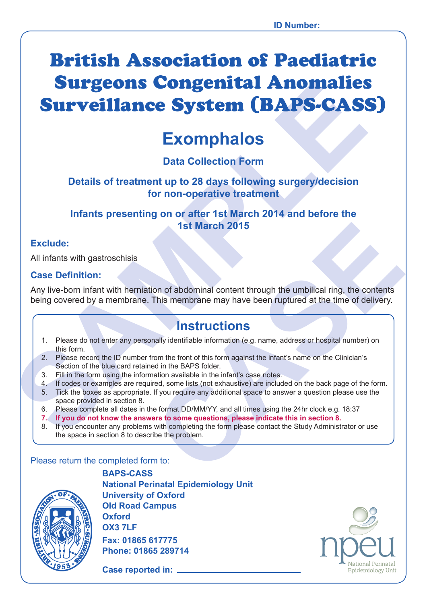# **Surveillance System (BAPS-CAS:**<br>
Exomphalos<br>
Data Collection Form<br>
Details of treatment up to 28 days following surgery/decision<br>
for non-operative treatment<br>
Infants presenting on or after 1st March 2014 and before the<br> British Association of Paediatric Surgeons Congenital Anomalies Surveillance System (BAPS-CASS)

# **Exomphalos**

## **Data Collection Form**

#### **Details of treatment up to 28 days following surgery/decision for non-operative treatment**

#### **Infants presenting on or after 1st March 2014 and before the 1st March 2015**

#### **Exclude:**

All infants with gastroschisis

#### **Case Definition:**

**1st March 2015**<br> **CASE March 2015**<br> **CASE March 2015**<br> **CASE March 2015**<br> **CASE March 2016**<br> **CASE March 2016**<br> **CASE March 2016**<br> **CASE March 2016**<br> **CASE March 2016**<br> **CASE March 2016**<br> **CASE March 2016**<br> **CASE March 20** Any live-born infant with herniation of abdominal content through the umbilical ring, the contents being covered by a membrane. This membrane may have been ruptured at the time of delivery.

## **Instructions**

- 1. Please do not enter any personally identifiable information (e.g. name, address or hospital number) on this form.
- 2. Please record the ID number from the front of this form against the infant's name on the Clinician's Section of the blue card retained in the BAPS folder.
- 3. Fill in the form using the information available in the infant's case notes.
- 4. If codes or examples are required, some lists (not exhaustive) are included on the back page of the form.
- 5. Tick the boxes as appropriate. If you require any additional space to answer a question please use the space provided in section 8.
- 6. Please complete all dates in the format DD/MM/YY, and all times using the 24hr clock e.g. 18:37
- **7. If you do not know the answers to some questions, please indicate this in section 8.**
- 8. If you encounter any problems with completing the form please contact the Study Administrator or use the space in section 8 to describe the problem.

#### Please return the completed form to:



**BAPS-CASS National Perinatal Epidemiology Unit University of Oxford Old Road Campus Oxford OX3 7LF Fax: 01865 617775 Phone: 01865 289714**

**Case reported in: \_** 

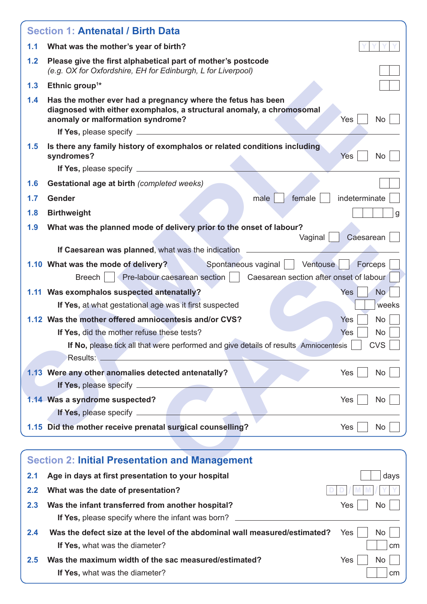|     | <b>Section 1: Antenatal / Birth Data</b>                                                                                                                                                                |                                             |
|-----|---------------------------------------------------------------------------------------------------------------------------------------------------------------------------------------------------------|---------------------------------------------|
| 1.1 | What was the mother's year of birth?                                                                                                                                                                    |                                             |
| 1.2 | Please give the first alphabetical part of mother's postcode<br>(e.g. OX for Oxfordshire, EH for Edinburgh, L for Liverpool)                                                                            |                                             |
| 1.3 | Ethnic group <sup>1*</sup>                                                                                                                                                                              |                                             |
| 1.4 | Has the mother ever had a pregnancy where the fetus has been<br>diagnosed with either exomphalos, a structural anomaly, a chromosomal<br>anomaly or malformation syndrome?                              | No<br>Yes                                   |
| 1.5 | Is there any family history of exomphalos or related conditions including<br>syndromes?                                                                                                                 | <b>Yes</b><br><b>No</b>                     |
|     |                                                                                                                                                                                                         |                                             |
| 1.6 | Gestational age at birth (completed weeks)                                                                                                                                                              |                                             |
| 1.7 | Gender<br>female<br>male                                                                                                                                                                                | indeterminate                               |
| 1.8 | <b>Birthweight</b>                                                                                                                                                                                      |                                             |
| 1.9 | What was the planned mode of delivery prior to the onset of labour?                                                                                                                                     |                                             |
|     | Vaginal  <br>If Caesarean was planned, what was the indication                                                                                                                                          | Caesarean                                   |
|     | Spontaneous vaginal   Ventouse<br>1.10 What was the mode of delivery?<br>Pre-labour caesarean section     Caesarean section after onset of labour<br><b>Breech</b>                                      | Forceps                                     |
|     | 1.11 Was exomphalos suspected antenatally?<br>If Yes, at what gestational age was it first suspected                                                                                                    | No.<br>Yes<br>weeks                         |
|     | 1.12 Was the mother offered amniocentesis and/or CVS?<br>If Yes, did the mother refuse these tests?<br>If No, please tick all that were performed and give details of results Amniocentesis<br>Results: | Yes<br>No<br>Yes<br><b>No</b><br><b>CVS</b> |
|     | 1.13 Were any other anomalies detected antenatally?<br>If Yes, please specify ____________                                                                                                              | Yes<br><b>No</b>                            |
|     | 1.14 Was a syndrome suspected?                                                                                                                                                                          | Yes<br>No                                   |
|     | 1.15 Did the mother receive prenatal surgical counselling?                                                                                                                                              | Yes<br>No                                   |
|     |                                                                                                                                                                                                         |                                             |
|     | <b>Section 2: Initial Presentation and Management</b>                                                                                                                                                   |                                             |
| 2.1 | Age in days at first presentation to your hospital                                                                                                                                                      | days                                        |
| 2.2 | What was the date of presentation?                                                                                                                                                                      |                                             |
| 2.3 | Was the infant transferred from another hospital?<br>If Yes, please specify where the infant was born?                                                                                                  | Yes<br><b>No</b>                            |
| 2.4 | Was the defect size at the level of the abdominal wall measured/estimated?<br>If Yes, what was the diameter?                                                                                            | <b>Yes</b><br><b>No</b><br>cm               |
| 2.5 | Was the maximum width of the sac measured/estimated?                                                                                                                                                    | Yes<br>No                                   |

**If Yes,** what was the diameter? contained a set of the set of the set of the set of the set of the set of the set of the set of the set of the set of the set of the set of the set of the set of the set of the set of the s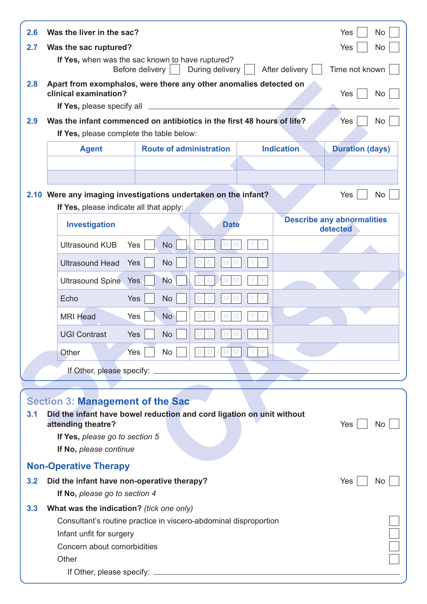| 2.6 | Was the liver in the sac?                                                                                                              |                                   |                 |                   | Yes<br><b>No</b>                              |
|-----|----------------------------------------------------------------------------------------------------------------------------------------|-----------------------------------|-----------------|-------------------|-----------------------------------------------|
| 2.7 | Was the sac ruptured?                                                                                                                  |                                   |                 |                   | Yes<br><b>No</b>                              |
|     | If Yes, when was the sac known to have ruptured?                                                                                       | Before delivery $\vert \ \ \vert$ | During delivery | After delivery    | Time not known                                |
| 2.8 | Apart from exomphalos, were there any other anomalies detected on                                                                      |                                   |                 |                   |                                               |
|     | clinical examination?                                                                                                                  |                                   |                 |                   | Yes<br><b>No</b>                              |
| 2.9 | <b>If Yes, please specify all</b> <u>___________________</u><br>Was the infant commenced on antibiotics in the first 48 hours of life? |                                   |                 |                   | Yes<br>No                                     |
|     | If Yes, please complete the table below:                                                                                               |                                   |                 |                   |                                               |
|     | <b>Agent</b>                                                                                                                           | <b>Route of administration</b>    |                 | <b>Indication</b> | <b>Duration (days)</b>                        |
|     |                                                                                                                                        |                                   |                 |                   |                                               |
|     |                                                                                                                                        |                                   |                 |                   |                                               |
|     | 2.10 Were any imaging investigations undertaken on the infant?                                                                         |                                   |                 |                   | Yes<br><b>No</b>                              |
|     | If Yes, please indicate all that apply:                                                                                                |                                   |                 |                   |                                               |
|     | <b>Investigation</b>                                                                                                                   |                                   | <b>Date</b>     |                   | <b>Describe any abnormalities</b><br>detected |
|     | Yes<br><b>Ultrasound KUB</b>                                                                                                           | <b>No</b>                         |                 |                   |                                               |
|     | <b>Ultrasound Head</b><br>Yes                                                                                                          | <b>No</b>                         |                 |                   |                                               |
|     | <b>Ultrasound Spine</b>                                                                                                                | <b>No</b><br>Yes                  |                 |                   |                                               |
|     | Echo<br>Yes                                                                                                                            | <b>No</b>                         |                 |                   |                                               |
|     | <b>MRI Head</b><br>Yes                                                                                                                 | <b>No</b>                         |                 |                   |                                               |
|     |                                                                                                                                        |                                   |                 |                   |                                               |
|     | <b>UGI Contrast</b><br>Yes                                                                                                             | <b>No</b>                         |                 |                   |                                               |
|     | Yes<br>Other                                                                                                                           | No                                |                 |                   |                                               |
|     | If Other, please specify: _________                                                                                                    |                                   |                 |                   |                                               |
|     |                                                                                                                                        |                                   |                 |                   |                                               |
|     | <b>Section 3: Management of the Sac</b>                                                                                                |                                   |                 |                   |                                               |
| 3.1 | Did the infant have bowel reduction and cord ligation on unit without<br>attending theatre?                                            |                                   |                 |                   | Yes<br>No.                                    |
|     | If Yes, please go to section 5                                                                                                         |                                   |                 |                   |                                               |
|     | If No, please continue                                                                                                                 |                                   |                 |                   |                                               |
|     | <b>Non-Operative Therapy</b>                                                                                                           |                                   |                 |                   |                                               |
| 3.2 | Did the infant have non-operative therapy?                                                                                             |                                   |                 |                   | Yes<br>No.                                    |
|     | If No, please go to section 4                                                                                                          |                                   |                 |                   |                                               |
| 3.3 | What was the indication? (tick one only)                                                                                               |                                   |                 |                   |                                               |
|     | Consultant's routine practice in viscero-abdominal disproportion                                                                       |                                   |                 |                   |                                               |
|     | Infant unfit for surgery<br>Concern about comorbidities                                                                                |                                   |                 |                   |                                               |
|     | Other                                                                                                                                  |                                   |                 |                   |                                               |
|     |                                                                                                                                        |                                   |                 |                   |                                               |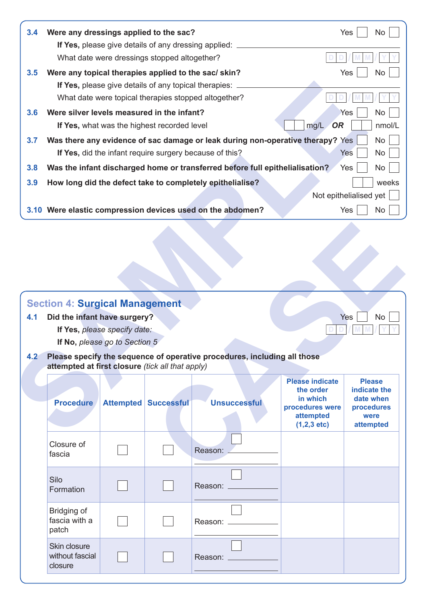| 3.4 | Were any dressings applied to the sac?<br>If Yes, please give details of any dressing applied:                               | Yes                    | No                        |
|-----|------------------------------------------------------------------------------------------------------------------------------|------------------------|---------------------------|
|     | What date were dressings stopped altogether?                                                                                 |                        |                           |
| 3.5 | Were any topical therapies applied to the sac/skin?                                                                          | Yes                    | No                        |
|     | If Yes, please give details of any topical therapies:                                                                        |                        |                           |
|     | What date were topical therapies stopped altogether?                                                                         |                        |                           |
| 3.6 | Were silver levels measured in the infant?                                                                                   | Yes                    | No                        |
|     | mg/L<br>If Yes, what was the highest recorded level                                                                          | OR                     | nmol/L                    |
| 3.7 | Was there any evidence of sac damage or leak during non-operative therapy? Yes                                               |                        | No                        |
|     | If Yes, did the infant require surgery because of this?                                                                      | Yes                    | No                        |
| 3.8 | Was the infant discharged home or transferred before full epithelialisation?                                                 | Yes                    | No                        |
| 3.9 | How long did the defect take to completely epithelialise?                                                                    |                        | weeks                     |
|     |                                                                                                                              | Not epithelialised yet |                           |
|     | 3.10 Were elastic compression devices used on the abdomen?                                                                   | Yes                    | No                        |
|     |                                                                                                                              |                        |                           |
|     | <b>Section 4: Surgical Management</b>                                                                                        |                        |                           |
| 4.1 | Did the infant have surgery?                                                                                                 | Yes                    | No                        |
|     | If Yes, please specify date:                                                                                                 |                        |                           |
|     | If No, please go to Section 5                                                                                                |                        |                           |
| 4.2 | Please specify the sequence of operative procedures, including all those<br>attempted at first closure (tick all that apply) |                        |                           |
|     | <b>Please indicate</b>                                                                                                       |                        | <b>Please</b>             |
|     | the order<br>in which                                                                                                        |                        | indicate the<br>date when |
|     | <b>Procedure</b><br><b>Unsuccessful</b><br><b>Attempted Successful</b><br>procedures were                                    |                        | procedures                |
|     | attempted<br>$(1,2,3 \text{ etc})$                                                                                           |                        | were<br>attempted         |
|     |                                                                                                                              |                        |                           |

### **Section 4: Surgical Management**

- **4.1 Did the infant have surgery?** Yes No
	- **If Yes,** *please specify date:* **D** *D D*
	- **If No,** *please go to Section 5*
- **4.2 Please specify the sequence of operative procedures, including all those attempted at first closure** *(tick all that apply)*

| <b>ection 4: Surgical Management</b><br>Did the infant have surgery? | If Yes, please specify date:<br>If No, please go to Section 5 |                             |                                                                          |                                                                                | Yes<br><b>No</b>                                             |
|----------------------------------------------------------------------|---------------------------------------------------------------|-----------------------------|--------------------------------------------------------------------------|--------------------------------------------------------------------------------|--------------------------------------------------------------|
| attempted at first closure (tick all that apply)                     |                                                               |                             | Please specify the sequence of operative procedures, including all those | <b>Please indicate</b>                                                         | <b>Please</b>                                                |
| <b>Procedure</b>                                                     |                                                               | <b>Attempted Successful</b> | <b>Unsuccessful</b>                                                      | the order<br>in which<br>procedures were<br>attempted<br>$(1,2,3 \text{ etc})$ | indicate the<br>date when<br>procedures<br>were<br>attempted |
| Closure of<br>fascia                                                 |                                                               |                             | Reason:                                                                  |                                                                                |                                                              |
| Silo<br>Formation                                                    |                                                               |                             | Reason: _                                                                |                                                                                |                                                              |
| Bridging of<br>fascia with a<br>patch                                |                                                               |                             | Reason: _______                                                          |                                                                                |                                                              |
| Skin closure<br>without fascial<br>closure                           |                                                               |                             | Reason:                                                                  |                                                                                |                                                              |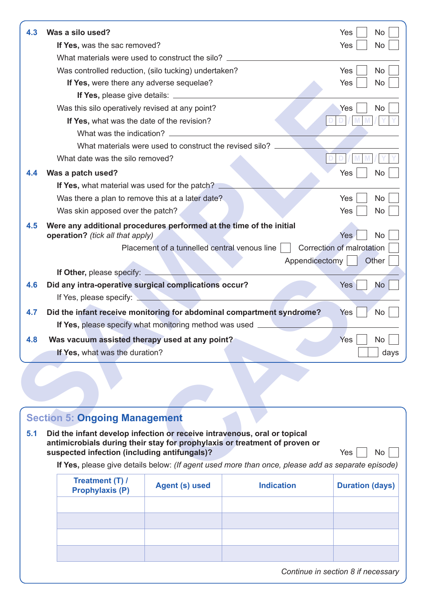|     | Was a silo used?                                                                                        | No<br>Yes                 |
|-----|---------------------------------------------------------------------------------------------------------|---------------------------|
|     | If Yes, was the sac removed?                                                                            | Yes<br><b>No</b>          |
|     | What materials were used to construct the silo?                                                         |                           |
|     | Was controlled reduction, (silo tucking) undertaken?                                                    | <b>No</b><br>Yes          |
|     | If Yes, were there any adverse sequelae?                                                                | Yes<br><b>No</b>          |
|     |                                                                                                         |                           |
|     | Was this silo operatively revised at any point?                                                         | Yes<br><b>No</b>          |
|     | If Yes, what was the date of the revision?                                                              |                           |
|     | What was the indication?                                                                                |                           |
|     | What materials were used to construct the revised silo?                                                 |                           |
|     | What date was the silo removed?                                                                         |                           |
| 4.4 | Was a patch used?                                                                                       | Yes<br><b>No</b>          |
|     | If Yes, what material was used for the patch?                                                           |                           |
|     | Was there a plan to remove this at a later date?                                                        | Yes<br><b>No</b>          |
|     | Was skin apposed over the patch?                                                                        | Yes<br><b>No</b>          |
| 4.5 | Were any additional procedures performed at the time of the initial<br>operation? (tick all that apply) | Yes<br><b>No</b>          |
|     | Placement of a tunnelled central venous line                                                            | Correction of malrotation |
|     | Appendicectomy                                                                                          | Other                     |
|     | <b>If Other, please specify:</b>                                                                        |                           |
| 4.6 | Did any intra-operative surgical complications occur?<br>If Yes, please specify:                        | <b>No</b><br><b>Yes</b>   |
| 4.7 | Did the infant receive monitoring for abdominal compartment syndrome?                                   | <b>No</b><br>Yes          |
|     | If Yes, please specify what monitoring method was used                                                  |                           |
|     | Was vacuum assisted therapy used at any point?                                                          |                           |
| 4.8 | If Yes, what was the duration?                                                                          | Yes<br><b>No</b><br>days  |

# **Section 5: Ongoing Management 5.1 Did the infant develop infection or receive intravenous, oral or topical antimicrobials during their stay for prophylaxis or treatment of proven or suspected infection (including antifungals)?** Yes No **If Yes,** please give details below: *(If agent used more than once, please add as separate episode)* **Treatment (T) / Prophylaxis (P) Agent (s) used Indication Duration (days)**

*Continue in section 8 if necessary*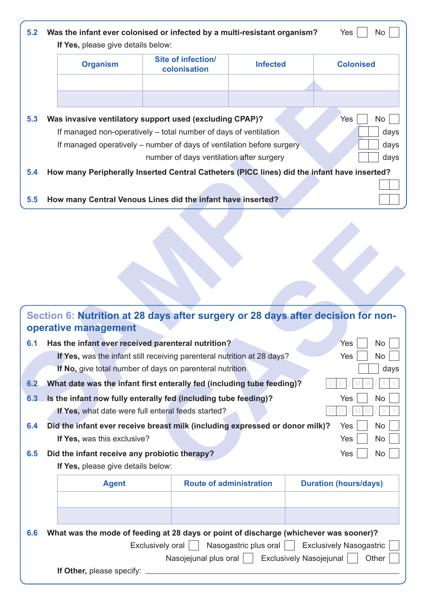|     | If Yes, please give details below:                                                          |                                                                         |                 |                  |
|-----|---------------------------------------------------------------------------------------------|-------------------------------------------------------------------------|-----------------|------------------|
|     | <b>Organism</b>                                                                             | <b>Site of infection/</b><br>colonisation                               | <b>Infected</b> | <b>Colonised</b> |
|     |                                                                                             |                                                                         |                 |                  |
|     |                                                                                             |                                                                         |                 |                  |
| 5.3 | Was invasive ventilatory support used (excluding CPAP)?                                     |                                                                         |                 | Yes<br>No        |
|     |                                                                                             | If managed non-operatively – total number of days of ventilation        |                 | days             |
|     |                                                                                             | If managed operatively - number of days of ventilation before surgery   |                 | days             |
|     |                                                                                             | number of days ventilation after surgery                                |                 | days             |
| 5.4 | How many Peripherally Inserted Central Catheters (PICC lines) did the infant have inserted? |                                                                         |                 |                  |
|     |                                                                                             |                                                                         |                 |                  |
| 5.5 | How many Central Venous Lines did the infant have inserted?                                 |                                                                         |                 |                  |
|     |                                                                                             |                                                                         |                 |                  |
|     |                                                                                             |                                                                         |                 |                  |
|     | Section 6: Nutrition at 28 days after surgery or 28 days after decision for non-            |                                                                         |                 |                  |
|     | operative management                                                                        |                                                                         |                 |                  |
| 6.1 | Has the infant ever received parenteral nutrition?                                          |                                                                         |                 | Yes<br>No        |
|     |                                                                                             | If Yes, was the infant still receiving parenteral nutrition at 28 days? |                 | Yes<br>No        |
|     |                                                                                             | If No, give total number of days on parenteral nutrition                |                 | days             |
| 6.2 | What date was the infant first enterally fed (including tube feeding)?                      |                                                                         |                 |                  |
| 6.3 | Is the infant now fully enterally fed (including tube feeding)?                             |                                                                         |                 | Yes<br>No        |
|     |                                                                                             | If Yes, what date were full enteral feeds started?                      |                 |                  |
| 6.4 | Did the infant ever receive breast milk (including expressed or donor milk)?                |                                                                         |                 | Yes<br>No        |

| Section 6: Nutrition at 28 days after surgery or 28 days after decision for non-<br>operative management |                                                        |                                                                    |
|----------------------------------------------------------------------------------------------------------|--------------------------------------------------------|--------------------------------------------------------------------|
| Has the infant ever received parenteral nutrition?<br>6.1                                                |                                                        | Yes<br><b>No</b>                                                   |
| If Yes, was the infant still receiving parenteral nutrition at 28 days?                                  |                                                        | <b>No</b><br>Yes                                                   |
| If No, give total number of days on parenteral nutrition                                                 |                                                        | days                                                               |
| What date was the infant first enterally fed (including tube feeding)?<br>6.2                            |                                                        |                                                                    |
| Is the infant now fully enterally fed (including tube feeding)?<br>6.3                                   |                                                        | <b>No</b><br>Yes                                                   |
| If Yes, what date were full enteral feeds started?                                                       |                                                        |                                                                    |
| Did the infant ever receive breast milk (including expressed or donor milk)?<br>6.4                      |                                                        | <b>No</b><br>Yes                                                   |
| If Yes, was this exclusive?                                                                              |                                                        | <b>No</b><br>Yes                                                   |
| Did the infant receive any probiotic therapy?<br>6.5                                                     |                                                        | <b>No</b><br>Yes                                                   |
| If Yes, please give details below:                                                                       |                                                        |                                                                    |
| <b>Agent</b>                                                                                             | <b>Route of administration</b>                         | <b>Duration (hours/days)</b>                                       |
|                                                                                                          |                                                        |                                                                    |
|                                                                                                          |                                                        |                                                                    |
|                                                                                                          |                                                        |                                                                    |
| What was the mode of feeding at 28 days or point of discharge (whichever was sooner)?<br>6.6             |                                                        |                                                                    |
| Exclusively oral $\vert$                                                                                 | Nasogastric plus oral $\vert$<br>Nasojejunal plus oral | <b>Exclusively Nasogastric</b><br>Exclusively Nasojejunal<br>Other |
| If Other, please specify:                                                                                |                                                        |                                                                    |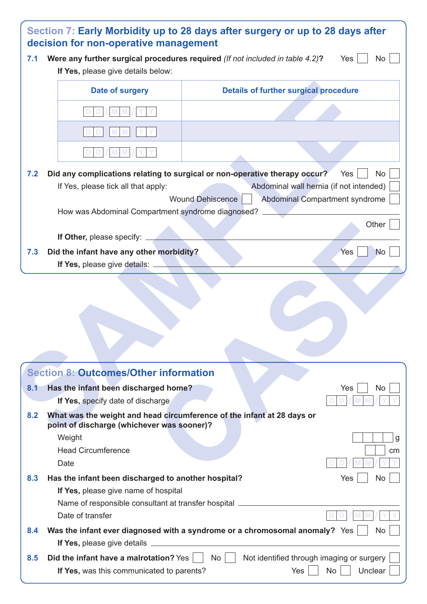| 7.1 | Were any further surgical procedures required (If not included in table 4.2)?                                        | Yes<br>No.                                                                                     |
|-----|----------------------------------------------------------------------------------------------------------------------|------------------------------------------------------------------------------------------------|
|     | If Yes, please give details below:                                                                                   |                                                                                                |
|     | Date of surgery                                                                                                      | <b>Details of further surgical procedure</b>                                                   |
|     |                                                                                                                      |                                                                                                |
|     |                                                                                                                      |                                                                                                |
|     |                                                                                                                      |                                                                                                |
| 7.2 |                                                                                                                      | Did any complications relating to surgical or non-operative therapy occur?<br><b>No</b><br>Yes |
|     | If Yes, please tick all that apply:                                                                                  | Abdominal wall hernia (if not intended)                                                        |
|     |                                                                                                                      | Wound Dehiscence<br>Abdominal Compartment syndrome                                             |
|     | How was Abdominal Compartment syndrome diagnosed? __                                                                 |                                                                                                |
|     |                                                                                                                      | Other                                                                                          |
|     | If Other, please specify: __                                                                                         |                                                                                                |
| 7.3 | Did the infant have any other morbidity?                                                                             | Yes<br><b>No</b>                                                                               |
|     | If Yes, please give details: __                                                                                      |                                                                                                |
|     |                                                                                                                      |                                                                                                |
|     | <b>Section 8: Outcomes/Other information</b>                                                                         |                                                                                                |
|     | Has the infant been discharged home?                                                                                 | Yes<br>No.                                                                                     |
| 8.1 | If Yes, specify date of discharge                                                                                    |                                                                                                |
|     | What was the weight and head circumference of the infant at 28 days or<br>point of discharge (whichever was sooner)? |                                                                                                |
| 8.2 | Weight                                                                                                               |                                                                                                |
|     | <b>Head Circumference</b>                                                                                            |                                                                                                |
|     | Date                                                                                                                 | cm                                                                                             |
| 8.3 | Has the infant been discharged to another hospital?                                                                  | Yes<br>No                                                                                      |
|     | If Yes, please give name of hospital                                                                                 |                                                                                                |
|     | Date of transfer                                                                                                     | Name of responsible consultant at transfer hospital ____________________________               |
| 8.4 |                                                                                                                      | Was the infant ever diagnosed with a syndrome or a chromosomal anomaly? Yes<br><b>No</b>       |